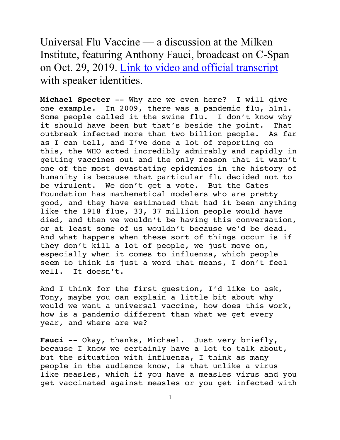Universal Flu Vaccine — a discussion at the Milken Institute, featuring Anthony Fauci, broadcast on C-Span on Oct. 29, 2019. Link to video and official transcript with speaker identities.

**Michael Specter** -- Why are we even here? I will give one example. In 2009, there was a pandemic flu, h1n1. Some people called it the swine flu. I don't know why it should have been but that's beside the point. That outbreak infected more than two billion people. As far as I can tell, and I've done a lot of reporting on this, the WHO acted incredibly admirably and rapidly in getting vaccines out and the only reason that it wasn't one of the most devastating epidemics in the history of humanity is because that particular flu decided not to be virulent. We don't get a vote. But the Gates Foundation has mathematical modelers who are pretty good, and they have estimated that had it been anything like the 1918 flue, 33, 37 million people would have died, and then we wouldn't be having this conversation, or at least some of us wouldn't because we'd be dead. And what happens when these sort of things occur is if they don't kill a lot of people, we just move on, especially when it comes to influenza, which people seem to think is just a word that means, I don't feel well. It doesn't.

And I think for the first question, I'd like to ask, Tony, maybe you can explain a little bit about why would we want a universal vaccine, how does this work, how is a pandemic different than what we get every year, and where are we?

Fauci -- Okay, thanks, Michael. Just very briefly, because I know we certainly have a lot to talk about, but the situation with influenza, I think as many people in the audience know, is that unlike a virus like measles, which if you have a measles virus and you get vaccinated against measles or you get infected with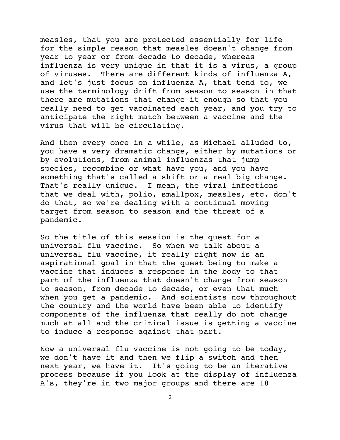measles, that you are protected essentially for life for the simple reason that measles doesn't change from year to year or from decade to decade, whereas influenza is very unique in that it is a virus, a group of viruses. There are different kinds of influenza A, and let's just focus on influenza A, that tend to, we use the terminology drift from season to season in that there are mutations that change it enough so that you really need to get vaccinated each year, and you try to anticipate the right match between a vaccine and the virus that will be circulating.

And then every once in a while, as Michael alluded to, you have a very dramatic change, either by mutations or by evolutions, from animal influenzas that jump species, recombine or what have you, and you have something that's called a shift or a real big change. That's really unique. I mean, the viral infections that we deal with, polio, smallpox, measles, etc. don't do that, so we're dealing with a continual moving target from season to season and the threat of a pandemic.

So the title of this session is the quest for a universal flu vaccine. So when we talk about a universal flu vaccine, it really right now is an aspirational goal in that the quest being to make a vaccine that induces a response in the body to that part of the influenza that doesn't change from season to season, from decade to decade, or even that much when you get a pandemic. And scientists now throughout the country and the world have been able to identify components of the influenza that really do not change much at all and the critical issue is getting a vaccine to induce a response against that part.

Now a universal flu vaccine is not going to be today, we don't have it and then we flip a switch and then next year, we have it. It's going to be an iterative process because if you look at the display of influenza A's, they're in two major groups and there are 18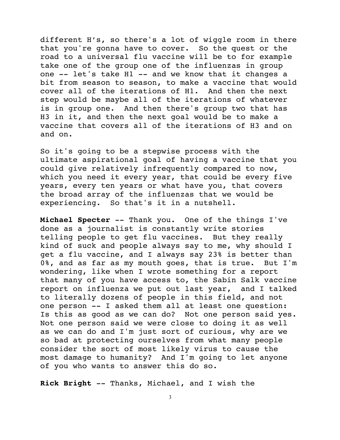different H's, so there's a lot of wiggle room in there that you're gonna have to cover. So the quest or the road to a universal flu vaccine will be to for example take one of the group one of the influenzas in group one -- let's take H1 -- and we know that it changes a bit from season to season, to make a vaccine that would cover all of the iterations of H1. And then the next step would be maybe all of the iterations of whatever is in group one. And then there's group two that has H3 in it, and then the next goal would be to make a vaccine that covers all of the iterations of H3 and on and on.

So it's going to be a stepwise process with the ultimate aspirational goal of having a vaccine that you could give relatively infrequently compared to now, which you need it every year, that could be every five years, every ten years or what have you, that covers the broad array of the influenzas that we would be experiencing. So that's it in a nutshell.

**Michael Specter** -- Thank you. One of the things I've done as a journalist is constantly write stories telling people to get flu vaccines. But they really kind of suck and people always say to me, why should I get a flu vaccine, and I always say 23% is better than 0%, and as far as my mouth goes, that is true. But I'm wondering, like when I wrote something for a report that many of you have access to, the Sabin Salk vaccine report on influenza we put out last year, and I talked to literally dozens of people in this field, and not one person -- I asked them all at least one question: Is this as good as we can do? Not one person said yes. Not one person said we were close to doing it as well as we can do and I'm just sort of curious, why are we so bad at protecting ourselves from what many people consider the sort of most likely virus to cause the most damage to humanity? And I'm going to let anyone of you who wants to answer this do so.

**Rick Bright** -- Thanks, Michael, and I wish the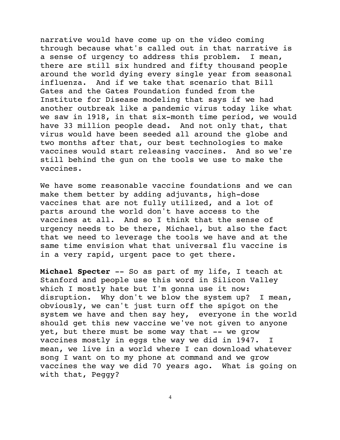narrative would have come up on the video coming through because what's called out in that narrative is a sense of urgency to address this problem. I mean, there are still six hundred and fifty thousand people around the world dying every single year from seasonal influenza. And if we take that scenario that Bill Gates and the Gates Foundation funded from the Institute for Disease modeling that says if we had another outbreak like a pandemic virus today like what we saw in 1918, in that six-month time period, we would have 33 million people dead. And not only that, that virus would have been seeded all around the globe and two months after that, our best technologies to make vaccines would start releasing vaccines. And so we're still behind the gun on the tools we use to make the vaccines.

We have some reasonable vaccine foundations and we can make them better by adding adjuvants, high-dose vaccines that are not fully utilized, and a lot of parts around the world don't have access to the vaccines at all. And so I think that the sense of urgency needs to be there, Michael, but also the fact that we need to leverage the tools we have and at the same time envision what that universal flu vaccine is in a very rapid, urgent pace to get there.

**Michael Specter** -- So as part of my life, I teach at Stanford and people use this word in Silicon Valley which I mostly hate but I'm gonna use it now: disruption. Why don't we blow the system up? I mean, obviously, we can't just turn off the spigot on the system we have and then say hey, everyone in the world should get this new vaccine we've not given to anyone yet, but there must be some way that -- we grow vaccines mostly in eggs the way we did in 1947. I mean, we live in a world where I can download whatever song I want on to my phone at command and we grow vaccines the way we did 70 years ago. What is going on with that, Peggy?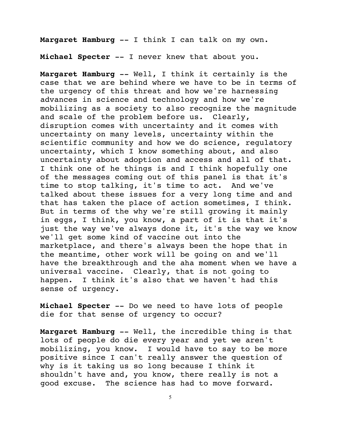**Margaret Hamburg** -- I think I can talk on my own.

**Michael Specter** -- I never knew that about you.

**Margaret Hamburg** -- Well, I think it certainly is the case that we are behind where we have to be in terms of the urgency of this threat and how we're harnessing advances in science and technology and how we're mobilizing as a society to also recognize the magnitude and scale of the problem before us. Clearly, disruption comes with uncertainty and it comes with uncertainty on many levels, uncertainty within the scientific community and how we do science, regulatory uncertainty, which I know something about, and also uncertainty about adoption and access and all of that. I think one of he things is and I think hopefully one of the messages coming out of this panel is that it's time to stop talking, it's time to act. And we've talked about these issues for a very long time and and that has taken the place of action sometimes, I think. But in terms of the why we're still growing it mainly in eggs, I think, you know, a part of it is that it's just the way we've always done it, it's the way we know we'll get some kind of vaccine out into the marketplace, and there's always been the hope that in the meantime, other work will be going on and we'll have the breakthrough and the aha moment when we have a universal vaccine. Clearly, that is not going to happen. I think it's also that we haven't had this sense of urgency.

**Michael Specter** -- Do we need to have lots of people die for that sense of urgency to occur?

**Margaret Hamburg** -- Well, the incredible thing is that lots of people do die every year and yet we aren't mobilizing, you know. I would have to say to be more positive since I can't really answer the question of why is it taking us so long because I think it shouldn't have and, you know, there really is not a good excuse. The science has had to move forward.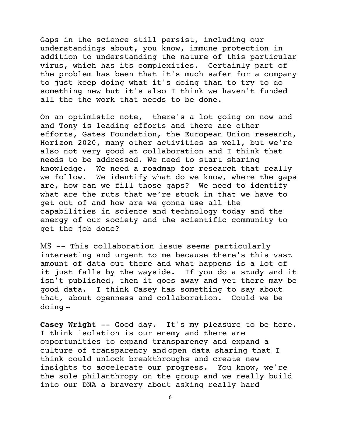Gaps in the science still persist, including our understandings about, you know, immune protection in addition to understanding the nature of this particular virus, which has its complexities. Certainly part of the problem has been that it's much safer for a company to just keep doing what it's doing than to try to do something new but it's also I think we haven't funded all the the work that needs to be done.

On an optimistic note, there's a lot going on now and and Tony is leading efforts and there are other efforts, Gates Foundation, the European Union research, Horizon 2020, many other activities as well, but we're also not very good at collaboration and I think that needs to be addressed. We need to start sharing knowledge. We need a roadmap for research that really we follow. We identify what do we know, where the gaps are, how can we fill those gaps? We need to identify what are the ruts that we're stuck in that we have to get out of and how are we gonna use all the capabilities in science and technology today and the energy of our society and the scientific community to get the job done?

MS -- This collaboration issue seems particularly interesting and urgent to me because there's this vast amount of data out there and what happens is a lot of it just falls by the wayside. If you do a study and it isn't published, then it goes away and yet there may be good data. I think Casey has something to say about that, about openness and collaboration. Could we be doing --

**Casey Wright** -- Good day. It's my pleasure to be here. I think isolation is our enemy and there are opportunities to expand transparency and expand a culture of transparency and open data sharing that I think could unlock breakthroughs and create new insights to accelerate our progress. You know, we're the sole philanthropy on the group and we really build into our DNA a bravery about asking really hard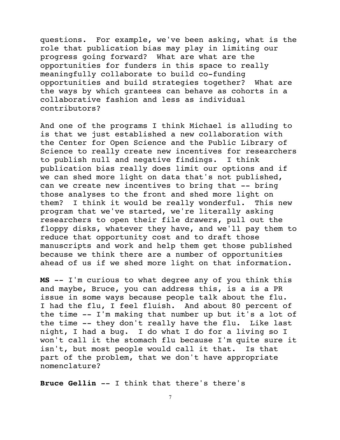questions. For example, we've been asking, what is the role that publication bias may play in limiting our progress going forward? What are what are the opportunities for funders in this space to really meaningfully collaborate to build co-funding opportunities and build strategies together? What are the ways by which grantees can behave as cohorts in a collaborative fashion and less as individual contributors?

And one of the programs I think Michael is alluding to is that we just established a new collaboration with the Center for Open Science and the Public Library of Science to really create new incentives for researchers to publish null and negative findings. I think publication bias really does limit our options and if we can shed more light on data that's not published, can we create new incentives to bring that -- bring those analyses to the front and shed more light on them? I think it would be really wonderful. This new program that we've started, we're literally asking researchers to open their file drawers, pull out the floppy disks, whatever they have, and we'll pay them to reduce that opportunity cost and to draft those manuscripts and work and help them get those published because we think there are a number of opportunities ahead of us if we shed more light on that information.

**MS** -- I'm curious to what degree any of you think this and maybe, Bruce, you can address this, is a is a PR issue in some ways because people talk about the flu. I had the flu, I feel fluish. And about 80 percent of the time -- I'm making that number up but it's a lot of the time -- they don't really have the flu. Like last night, I had a bug. I do what I do for a living so I won't call it the stomach flu because I'm quite sure it isn't, but most people would call it that. Is that part of the problem, that we don't have appropriate nomenclature?

**Bruce Gellin** -- I think that there's there's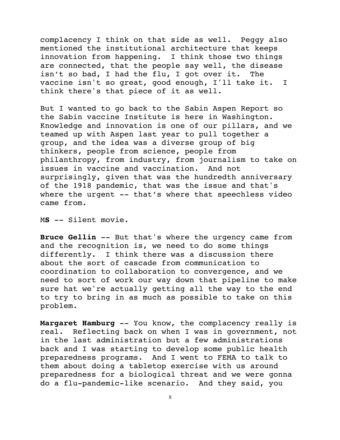complacency I think on that side as well. Peggy also mentioned the institutional architecture that keeps innovation from happening. I think those two things are connected, that the people say well, the disease isn't so bad, I had the flu, I got over it. The vaccine isn't so great, good enough, I'll take it. I think there's that piece of it as well.

But I wanted to go back to the Sabin Aspen Report so the Sabin vaccine Institute is here in Washington. Knowledge and innovation is one of our pillars, and we teamed up with Aspen last year to pull together a group, and the idea was a diverse group of big thinkers, people from science, people from philanthropy, from industry, from journalism to take on issues in vaccine and vaccination. And not surprisingly, given that was the hundredth anniversary of the 1918 pandemic, that was the issue and that's where the urgent -- that's where that speechless video came from.

M**S** -- Silent movie.

**Bruce Gellin** -- But that's where the urgency came from and the recognition is, we need to do some things differently. I think there was a discussion there about the sort of cascade from communication to coordination to collaboration to convergence, and we need to sort of work our way down that pipeline to make sure hat we're actually getting all the way to the end to try to bring in as much as possible to take on this problem.

**Margaret Hamburg** -- You know, the complacency really is real. Reflecting back on when I was in government, not in the last administration but a few administrations back and I was starting to develop some public health preparedness programs. And I went to FEMA to talk to them about doing a tabletop exercise with us around preparedness for a biological threat and we were gonna do a flu-pandemic-like scenario. And they said, you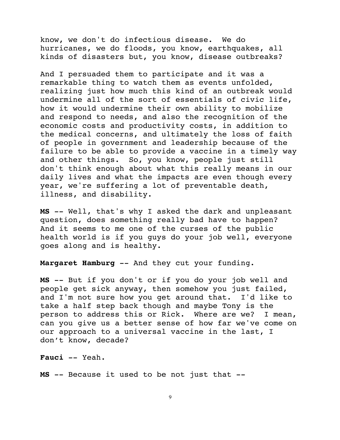know, we don't do infectious disease. We do hurricanes, we do floods, you know, earthquakes, all kinds of disasters but, you know, disease outbreaks?

And I persuaded them to participate and it was a remarkable thing to watch them as events unfolded, realizing just how much this kind of an outbreak would undermine all of the sort of essentials of civic life, how it would undermine their own ability to mobilize and respond to needs, and also the recognition of the economic costs and productivity costs, in addition to the medical concerns, and ultimately the loss of faith of people in government and leadership because of the failure to be able to provide a vaccine in a timely way and other things. So, you know, people just still don't think enough about what this really means in our daily lives and what the impacts are even though every year, we're suffering a lot of preventable death, illness, and disability.

**MS** -- Well, that's why I asked the dark and unpleasant question, does something really bad have to happen? And it seems to me one of the curses of the public health world is if you guys do your job well, everyone goes along and is healthy.

**Margaret Hamburg** -- And they cut your funding.

**MS** -- But if you don't or if you do your job well and people get sick anyway, then somehow you just failed, and I'm not sure how you get around that. I'd like to take a half step back though and maybe Tony is the person to address this or Rick. Where are we? I mean, can you give us a better sense of how far we've come on our approach to a universal vaccine in the last, I don't know, decade?

**Fauci** -- Yeah.

**MS** -- Because it used to be not just that --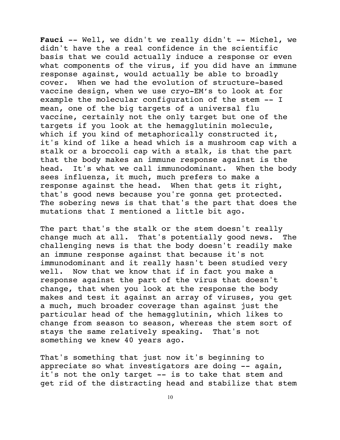Fauci -- Well, we didn't we really didn't -- Michel, we didn't have the a real confidence in the scientific basis that we could actually induce a response or even what components of the virus, if you did have an immune response against, would actually be able to broadly cover. When we had the evolution of structure-based vaccine design, when we use cryo-EM's to look at for example the molecular configuration of the stem -- I mean, one of the big targets of a universal flu vaccine, certainly not the only target but one of the targets if you look at the hemagglutinin molecule, which if you kind of metaphorically constructed it, it's kind of like a head which is a mushroom cap with a stalk or a broccoli cap with a stalk, is that the part that the body makes an immune response against is the head. It's what we call immunodominant. When the body sees influenza, it much, much prefers to make a response against the head. When that gets it right, that's good news because you're gonna get protected. The sobering news is that that's the part that does the mutations that I mentioned a little bit ago.

The part that's the stalk or the stem doesn't really change much at all. That's potentially good news. The challenging news is that the body doesn't readily make an immune response against that because it's not immunodominant and it really hasn't been studied very well. Now that we know that if in fact you make a response against the part of the virus that doesn't change, that when you look at the response the body makes and test it against an array of viruses, you get a much, much broader coverage than against just the particular head of the hemagglutinin, which likes to change from season to season, whereas the stem sort of stays the same relatively speaking. That's not something we knew 40 years ago.

That's something that just now it's beginning to appreciate so what investigators are doing -- again, it's not the only target -- is to take that stem and get rid of the distracting head and stabilize that stem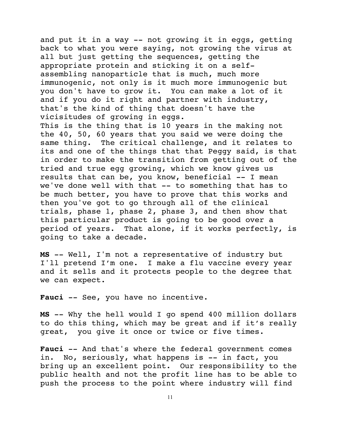and put it in a way -- not growing it in eggs, getting back to what you were saying, not growing the virus at all but just getting the sequences, getting the appropriate protein and sticking it on a selfassembling nanoparticle that is much, much more immunogenic, not only is it much more immunogenic but you don't have to grow it. You can make a lot of it and if you do it right and partner with industry, that's the kind of thing that doesn't have the vicisitudes of growing in eggs. This is the thing that is 10 years in the making not the 40, 50, 60 years that you said we were doing the same thing. The critical challenge, and it relates to its and one of the things that that Peggy said, is that in order to make the transition from getting out of the tried and true egg growing, which we know gives us results that can be, you know, beneficial -- I mean we've done well with that -- to something that has to be much better, you have to prove that this works and then you've got to go through all of the clinical trials, phase 1, phase 2, phase 3, and then show that this particular product is going to be good over a period of years. That alone, if it works perfectly, is going to take a decade.

**MS** -- Well, I'm not a representative of industry but I'll pretend I'm one. I make a flu vaccine every year and it sells and it protects people to the degree that we can expect.

Fauci -- See, you have no incentive.

**MS** -- Why the hell would I go spend 400 million dollars to do this thing, which may be great and if it's really great, you give it once or twice or five times.

**Fauci** -- And that's where the federal government comes in. No, seriously, what happens is -- in fact, you bring up an excellent point. Our responsibility to the public health and not the profit line has to be able to push the process to the point where industry will find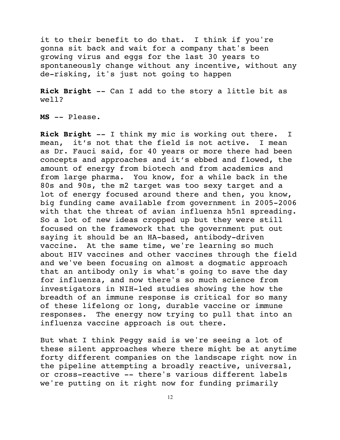it to their benefit to do that. I think if you're gonna sit back and wait for a company that's been growing virus and eggs for the last 30 years to spontaneously change without any incentive, without any de-risking, it's just not going to happen

**Rick Bright** -- Can I add to the story a little bit as well?

**MS** -- Please.

**Rick Bright** -- I think my mic is working out there. I mean, it's not that the field is not active. I mean as Dr. Fauci said, for 40 years or more there had been concepts and approaches and it's ebbed and flowed, the amount of energy from biotech and from academics and from large pharma. You know, for a while back in the 80s and 90s, the m2 target was too sexy target and a lot of energy focused around there and then, you know, big funding came available from government in 2005-2006 with that the threat of avian influenza h5n1 spreading. So a lot of new ideas cropped up but they were still focused on the framework that the government put out saying it should be an HA-based, antibody-driven vaccine. At the same time, we're learning so much about HIV vaccines and other vaccines through the field and we've been focusing on almost a dogmatic approach that an antibody only is what's going to save the day for influenza, and now there's so much science from investigators in NIH-led studies showing the how the breadth of an immune response is critical for so many of these lifelong or long, durable vaccine or immune responses. The energy now trying to pull that into an influenza vaccine approach is out there.

But what I think Peggy said is we're seeing a lot of these silent approaches where there might be at anytime forty different companies on the landscape right now in the pipeline attempting a broadly reactive, universal, or cross-reactive -- there's various different labels we're putting on it right now for funding primarily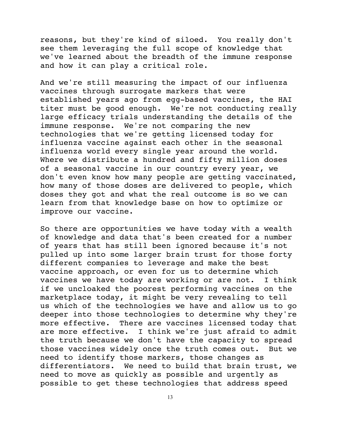reasons, but they're kind of siloed. You really don't see them leveraging the full scope of knowledge that we've learned about the breadth of the immune response and how it can play a critical role.

And we're still measuring the impact of our influenza vaccines through surrogate markers that were established years ago from egg-based vaccines, the HAI titer must be good enough. We're not conducting really large efficacy trials understanding the details of the immune response. We're not comparing the new technologies that we're getting licensed today for influenza vaccine against each other in the seasonal influenza world every single year around the world. Where we distribute a hundred and fifty million doses of a seasonal vaccine in our country every year, we don't even know how many people are getting vaccinated, how many of those doses are delivered to people, which doses they got and what the real outcome is so we can learn from that knowledge base on how to optimize or improve our vaccine.

So there are opportunities we have today with a wealth of knowledge and data that's been created for a number of years that has still been ignored because it's not pulled up into some larger brain trust for those forty different companies to leverage and make the best vaccine approach, or even for us to determine which vaccines we have today are working or are not. I think if we uncloaked the poorest performing vaccines on the marketplace today, it might be very revealing to tell us which of the technologies we have and allow us to go deeper into those technologies to determine why they're more effective. There are vaccines licensed today that are more effective. I think we're just afraid to admit the truth because we don't have the capacity to spread those vaccines widely once the truth comes out. But we need to identify those markers, those changes as differentiators. We need to build that brain trust, we need to move as quickly as possible and urgently as possible to get these technologies that address speed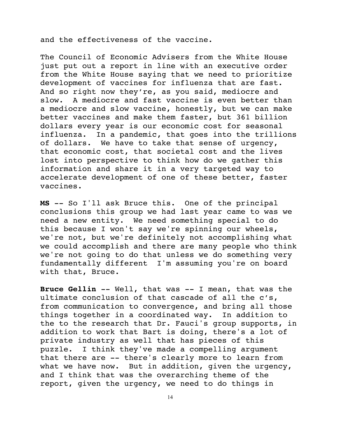and the effectiveness of the vaccine.

The Council of Economic Advisers from the White House just put out a report in line with an executive order from the White House saying that we need to prioritize development of vaccines for influenza that are fast. And so right now they're, as you said, mediocre and slow. A mediocre and fast vaccine is even better than a mediocre and slow vaccine, honestly, but we can make better vaccines and make them faster, but 361 billion dollars every year is our economic cost for seasonal influenza. In a pandemic, that goes into the trillions of dollars. We have to take that sense of urgency, that economic cost, that societal cost and the lives lost into perspective to think how do we gather this information and share it in a very targeted way to accelerate development of one of these better, faster vaccines.

**MS** -- So I'll ask Bruce this. One of the principal conclusions this group we had last year came to was we need a new entity. We need something special to do this because I won't say we're spinning our wheels, we're not, but we're definitely not accomplishing what we could accomplish and there are many people who think we're not going to do that unless we do something very fundamentally different I'm assuming you're on board with that, Bruce.

**Bruce Gellin** -- Well, that was -- I mean, that was the ultimate conclusion of that cascade of all the c's, from communication to convergence, and bring all those things together in a coordinated way. In addition to the to the research that Dr. Fauci's group supports, in addition to work that Bart is doing, there's a lot of private industry as well that has pieces of this puzzle. I think they've made a compelling argument that there are -- there's clearly more to learn from what we have now. But in addition, given the urgency, and I think that was the overarching theme of the report, given the urgency, we need to do things in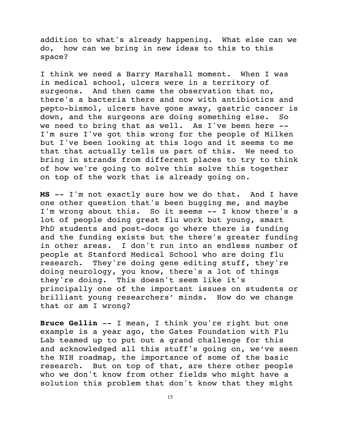addition to what's already happening. What else can we do, how can we bring in new ideas to this to this space?

I think we need a Barry Marshall moment. When I was in medical school, ulcers were in a territory of surgeons. And then came the observation that no, there's a bacteria there and now with antibiotics and pepto-bismol, ulcers have gone away, gastric cancer is down, and the surgeons are doing something else. So we need to bring that as well. As I've been here -- I'm sure I've got this wrong for the people of Milken but I've been looking at this logo and it seems to me that that actually tells us part of this. We need to bring in strands from different places to try to think of how we're going to solve this solve this together on top of the work that is already going on.

**MS** -- I'm not exactly sure how we do that. And I have one other question that's been bugging me, and maybe I'm wrong about this. So it seems -- I know there's a lot of people doing great flu work but young, smart PhD students and post-docs go where there is funding and the funding exists but the there's greater funding in other areas. I don't run into an endless number of people at Stanford Medical School who are doing flu research. They're doing gene editing stuff, they're doing neurology, you know, there's a lot of things they're doing. This doesn't seem like it's principally one of the important issues on students or brilliant young researchers' minds. How do we change that or am I wrong?

**Bruce Gellin** -- I mean, I think you're right but one example is a year ago, the Gates Foundation with Flu Lab teamed up to put out a grand challenge for this and acknowledged all this stuff's going on, we've seen the NIH roadmap, the importance of some of the basic research. But on top of that, are there other people who we don't know from other fields who might have a solution this problem that don't know that they might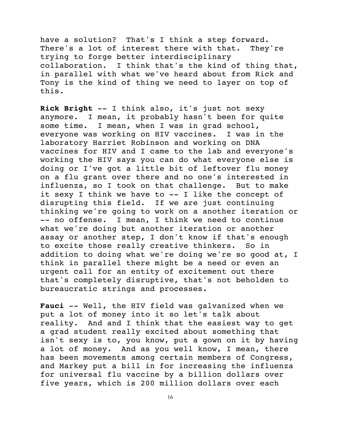have a solution? That's I think a step forward. There's a lot of interest there with that. They're trying to forge better interdisciplinary collaboration. I think that's the kind of thing that, in parallel with what we've heard about from Rick and Tony is the kind of thing we need to layer on top of this.

**Rick Bright** -- I think also, it's just not sexy anymore. I mean, it probably hasn't been for quite some time. I mean, when I was in grad school, everyone was working on HIV vaccines. I was in the laboratory Harriet Robinson and working on DNA vaccines for HIV and I came to the lab and everyone's working the HIV says you can do what everyone else is doing or I've got a little bit of leftover flu money on a flu grant over there and no one's interested in influenza, so I took on that challenge. But to make it sexy I think we have to -- I like the concept of disrupting this field. If we are just continuing thinking we're going to work on a another iteration or -- no offense. I mean, I think we need to continue what we're doing but another iteration or another assay or another step, I don't know if that's enough to excite those really creative thinkers. So in addition to doing what we're doing we're so good at, I think in parallel there might be a need or even an urgent call for an entity of excitement out there that's completely disruptive, that's not beholden to bureaucratic strings and processes.

**Fauci** -- Well, the HIV field was galvanized when we put a lot of money into it so let's talk about reality. And and I think that the easiest way to get a grad student really excited about something that isn't sexy is to, you know, put a gown on it by having a lot of money. And as you well know, I mean, there has been movements among certain members of Congress, and Markey put a bill in for increasing the influenza for universal flu vaccine by a billion dollars over five years, which is 200 million dollars over each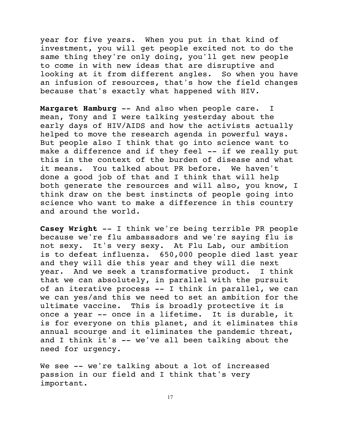year for five years. When you put in that kind of investment, you will get people excited not to do the same thing they're only doing, you'll get new people to come in with new ideas that are disruptive and looking at it from different angles. So when you have an infusion of resources, that's how the field changes because that's exactly what happened with HIV.

**Margaret Hamburg** -- And also when people care. I mean, Tony and I were talking yesterday about the early days of HIV/AIDS and how the activists actually helped to move the research agenda in powerful ways. But people also I think that go into science want to make a difference and if they feel -- if we really put this in the context of the burden of disease and what it means. You talked about PR before. We haven't done a good job of that and I think that will help both generate the resources and will also, you know, I think draw on the best instincts of people going into science who want to make a difference in this country and around the world.

**Casey Wright** -- I think we're being terrible PR people because we're flu ambassadors and we're saying flu is not sexy. It's very sexy. At Flu Lab, our ambition is to defeat influenza. 650,000 people died last year and they will die this year and they will die next year. And we seek a transformative product. I think that we can absolutely, in parallel with the pursuit of an iterative process -- I think in parallel, we can we can yes/and this we need to set an ambition for the ultimate vaccine. This is broadly protective it is once a year -- once in a lifetime. It is durable, it is for everyone on this planet, and it eliminates this annual scourge and it eliminates the pandemic threat, and I think it's -- we've all been talking about the need for urgency.

We see -- we're talking about a lot of increased passion in our field and I think that's very important.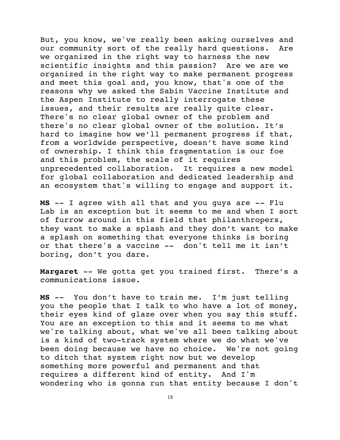But, you know, we've really been asking ourselves and our community sort of the really hard questions. Are we organized in the right way to harness the new scientific insights and this passion? Are we are we organized in the right way to make permanent progress and meet this goal and, you know, that's one of the reasons why we asked the Sabin Vaccine Institute and the Aspen Institute to really interrogate these issues, and their results are really quite clear. There's no clear global owner of the problem and there's no clear global owner of the solution. It's hard to imagine how we'll permanent progress if that, from a worldwide perspective, doesn't have some kind of ownership. I think this fragmentation is our foe and this problem, the scale of it requires unprecedented collaboration. It requires a new model for global collaboration and dedicated leadership and an ecosystem that's willing to engage and support it.

**MS** -- I agree with all that and you guys are -- Flu Lab is an exception but it seems to me and when I sort of furrow around in this field that philanthropers, they want to make a splash and they don't want to make a splash on something that everyone thinks is boring or that there's a vaccine -- don't tell me it isn't boring, don't you dare.

**Margaret** -- We gotta get you trained first. There's a communications issue.

**MS** -- You don't have to train me. I'm just telling you the people that I talk to who have a lot of money, their eyes kind of glaze over when you say this stuff. You are an exception to this and it seems to me what we're talking about, what we've all been talking about is a kind of two-track system where we do what we've been doing because we have no choice. We're not going to ditch that system right now but we develop something more powerful and permanent and that requires a different kind of entity. And I'm wondering who is gonna run that entity because I don't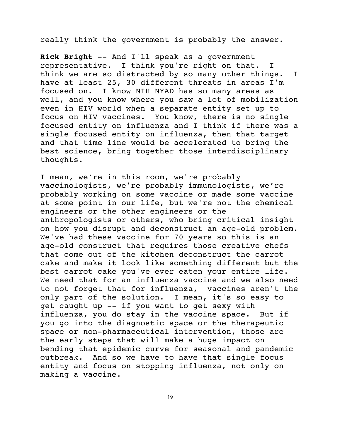really think the government is probably the answer.

**Rick Bright** -- And I'll speak as a government representative. I think you're right on that. I think we are so distracted by so many other things. I have at least 25, 30 different threats in areas I'm focused on. I know NIH NYAD has so many areas as well, and you know where you saw a lot of mobilization even in HIV world when a separate entity set up to focus on HIV vaccines. You know, there is no single focused entity on influenza and I think if there was a single focused entity on influenza, then that target and that time line would be accelerated to bring the best science, bring together those interdisciplinary thoughts.

I mean, we're in this room, we're probably vaccinologists, we're probably immunologists, we're probably working on some vaccine or made some vaccine at some point in our life, but we're not the chemical engineers or the other engineers or the anthropologists or others, who bring critical insight on how you disrupt and deconstruct an age-old problem. We've had these vaccine for 70 years so this is an age-old construct that requires those creative chefs that come out of the kitchen deconstruct the carrot cake and make it look like something different but the best carrot cake you've ever eaten your entire life. We need that for an influenza vaccine and we also need to not forget that for influenza, vaccines aren't the only part of the solution. I mean, it's so easy to get caught up -- if you want to get sexy with influenza, you do stay in the vaccine space. But if you go into the diagnostic space or the therapeutic space or non-pharmaceutical intervention, those are the early steps that will make a huge impact on bending that epidemic curve for seasonal and pandemic outbreak. And so we have to have that single focus entity and focus on stopping influenza, not only on making a vaccine.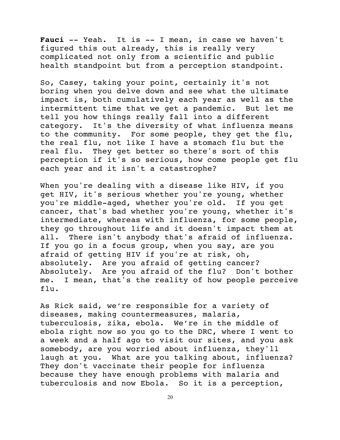**Fauci** -- Yeah. It is -- I mean, in case we haven't figured this out already, this is really very complicated not only from a scientific and public health standpoint but from a perception standpoint.

So, Casey, taking your point, certainly it's not boring when you delve down and see what the ultimate impact is, both cumulatively each year as well as the intermittent time that we get a pandemic. But let me tell you how things really fall into a different category. It's the diversity of what influenza means to the community. For some people, they get the flu, the real flu, not like I have a stomach flu but the real flu. They get better so there's sort of this perception if it's so serious, how come people get flu each year and it isn't a catastrophe?

When you're dealing with a disease like HIV, if you get HIV, it's serious whether you're young, whether you're middle-aged, whether you're old. If you get cancer, that's bad whether you're young, whether it's intermediate, whereas with influenza, for some people, they go throughout life and it doesn't impact them at all. There isn't anybody that's afraid of influenza. If you go in a focus group, when you say, are you afraid of getting HIV if you're at risk, oh, absolutely. Are you afraid of getting cancer? Absolutely. Are you afraid of the flu? Don't bother me. I mean, that's the reality of how people perceive flu.

As Rick said, we're responsible for a variety of diseases, making countermeasures, malaria, tuberculosis, zika, ebola. We're in the middle of ebola right now so you go to the DRC, where I went to a week and a half ago to visit our sites, and you ask somebody, are you worried about influenza, they'll laugh at you. What are you talking about, influenza? They don't vaccinate their people for influenza because they have enough problems with malaria and tuberculosis and now Ebola. So it is a perception,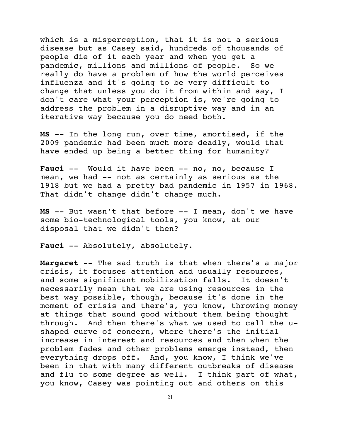which is a misperception, that it is not a serious disease but as Casey said, hundreds of thousands of people die of it each year and when you get a pandemic, millions and millions of people. So we really do have a problem of how the world perceives influenza and it's going to be very difficult to change that unless you do it from within and say, I don't care what your perception is, we're going to address the problem in a disruptive way and in an iterative way because you do need both.

**MS** -- In the long run, over time, amortised, if the 2009 pandemic had been much more deadly, would that have ended up being a better thing for humanity?

Fauci -- Would it have been -- no, no, because I mean, we had -- not as certainly as serious as the 1918 but we had a pretty bad pandemic in 1957 in 1968. That didn't change didn't change much.

**MS** -- But wasn't that before -- I mean, don't we have some bio-technological tools, you know, at our disposal that we didn't then?

Fauci -- Absolutely, absolutely.

**Margaret** -- The sad truth is that when there's a major crisis, it focuses attention and usually resources, and some significant mobilization falls. It doesn't necessarily mean that we are using resources in the best way possible, though, because it's done in the moment of crisis and there's, you know, throwing money at things that sound good without them being thought through. And then there's what we used to call the ushaped curve of concern, where there's the initial increase in interest and resources and then when the problem fades and other problems emerge instead, then everything drops off. And, you know, I think we've been in that with many different outbreaks of disease and flu to some degree as well. I think part of what, you know, Casey was pointing out and others on this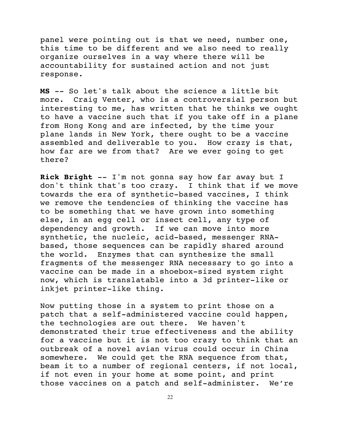panel were pointing out is that we need, number one, this time to be different and we also need to really organize ourselves in a way where there will be accountability for sustained action and not just response.

**MS** -- So let's talk about the science a little bit more. Craig Venter, who is a controversial person but interesting to me, has written that he thinks we ought to have a vaccine such that if you take off in a plane from Hong Kong and are infected, by the time your plane lands in New York, there ought to be a vaccine assembled and deliverable to you. How crazy is that, how far are we from that? Are we ever going to get there?

**Rick Bright** -- I'm not gonna say how far away but I don't think that's too crazy. I think that if we move towards the era of synthetic-based vaccines, I think we remove the tendencies of thinking the vaccine has to be something that we have grown into something else, in an egg cell or insect cell, any type of dependency and growth. If we can move into more synthetic, the nucleic, acid-based, messenger RNAbased, those sequences can be rapidly shared around the world. Enzymes that can synthesize the small fragments of the messenger RNA necessary to go into a vaccine can be made in a shoebox-sized system right now, which is translatable into a 3d printer-like or inkjet printer-like thing.

Now putting those in a system to print those on a patch that a self-administered vaccine could happen, the technologies are out there. We haven't demonstrated their true effectiveness and the ability for a vaccine but it is not too crazy to think that an outbreak of a novel avian virus could occur in China somewhere. We could get the RNA sequence from that, beam it to a number of regional centers, if not local, if not even in your home at some point, and print those vaccines on a patch and self-administer. We're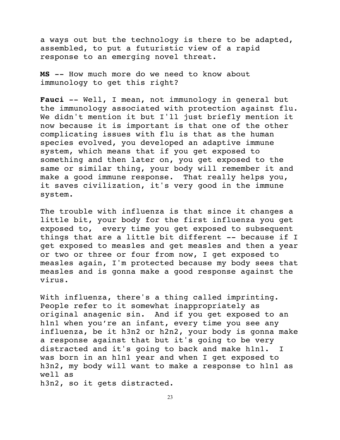a ways out but the technology is there to be adapted, assembled, to put a futuristic view of a rapid response to an emerging novel threat.

**MS** -- How much more do we need to know about immunology to get this right?

**Fauci** -- Well, I mean, not immunology in general but the immunology associated with protection against flu. We didn't mention it but I'll just briefly mention it now because it is important is that one of the other complicating issues with flu is that as the human species evolved, you developed an adaptive immune system, which means that if you get exposed to something and then later on, you get exposed to the same or similar thing, your body will remember it and make a good immune response. That really helps you, it saves civilization, it's very good in the immune system.

The trouble with influenza is that since it changes a little bit, your body for the first influenza you get exposed to, every time you get exposed to subsequent things that are a little bit different -- because if I get exposed to measles and get measles and then a year or two or three or four from now, I get exposed to measles again, I'm protected because my body sees that measles and is gonna make a good response against the virus.

With influenza, there's a thing called imprinting. People refer to it somewhat inappropriately as original anagenic sin. And if you get exposed to an h1n1 when you're an infant, every time you see any influenza, be it h3n2 or h2n2, your body is gonna make a response against that but it's going to be very distracted and it's going to back and make h1n1. I was born in an h1n1 year and when I get exposed to h3n2, my body will want to make a response to h1n1 as well as

h3n2, so it gets distracted.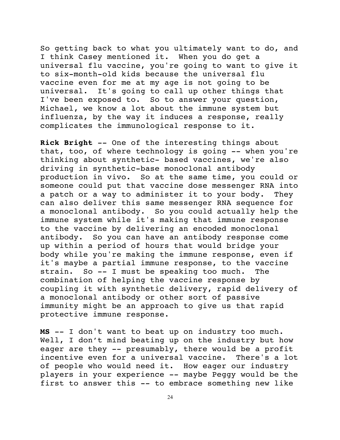So getting back to what you ultimately want to do, and I think Casey mentioned it. When you do get a universal flu vaccine, you're going to want to give it to six-month-old kids because the universal flu vaccine even for me at my age is not going to be universal. It's going to call up other things that I've been exposed to. So to answer your question, Michael, we know a lot about the immune system but influenza, by the way it induces a response, really complicates the immunological response to it.

**Rick Bright** -- One of the interesting things about that, too, of where technology is going -- when you're thinking about synthetic- based vaccines, we're also driving in synthetic-base monoclonal antibody production in vivo. So at the same time, you could or someone could put that vaccine dose messenger RNA into a patch or a way to administer it to your body. They can also deliver this same messenger RNA sequence for a monoclonal antibody. So you could actually help the immune system while it's making that immune response to the vaccine by delivering an encoded monoclonal antibody. So you can have an antibody response come up within a period of hours that would bridge your body while you're making the immune response, even if it's maybe a partial immune response, to the vaccine strain. So -- I must be speaking too much. The combination of helping the vaccine response by coupling it with synthetic delivery, rapid delivery of a monoclonal antibody or other sort of passive immunity might be an approach to give us that rapid protective immune response.

**MS** -- I don't want to beat up on industry too much. Well, I don't mind beating up on the industry but how eager are they -- presumably, there would be a profit incentive even for a universal vaccine. There's a lot of people who would need it. How eager our industry players in your experience -- maybe Peggy would be the first to answer this -- to embrace something new like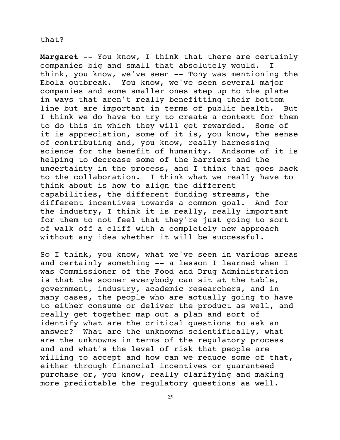## that?

**Margaret** -- You know, I think that there are certainly companies big and small that absolutely would. I think, you know, we've seen -- Tony was mentioning the Ebola outbreak. You know, we've seen several major companies and some smaller ones step up to the plate in ways that aren't really benefitting their bottom line but are important in terms of public health. But I think we do have to try to create a context for them to do this in which they will get rewarded. Some of it is appreciation, some of it is, you know, the sense of contributing and, you know, really harnessing science for the benefit of humanity. Andsome of it is helping to decrease some of the barriers and the uncertainty in the process, and I think that goes back to the collaboration. I think what we really have to think about is how to align the different capabilities, the different funding streams, the different incentives towards a common goal. And for the industry, I think it is really, really important for them to not feel that they're just going to sort of walk off a cliff with a completely new approach without any idea whether it will be successful.

So I think, you know, what we've seen in various areas and certainly something -- a lesson I learned when I was Commissioner of the Food and Drug Administration is that the sooner everybody can sit at the table, government, industry, academic researchers, and in many cases, the people who are actually going to have to either consume or deliver the product as well, and really get together map out a plan and sort of identify what are the critical questions to ask an answer? What are the unknowns scientifically, what are the unknowns in terms of the regulatory process and and what's the level of risk that people are willing to accept and how can we reduce some of that, either through financial incentives or guaranteed purchase or, you know, really clarifying and making more predictable the regulatory questions as well.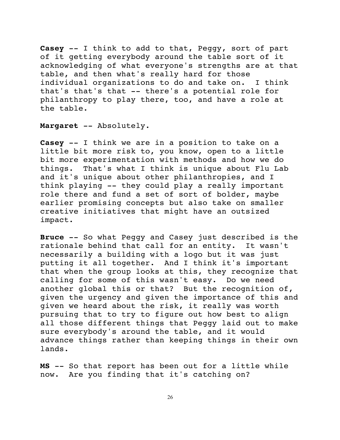**Casey** -- I think to add to that, Peggy, sort of part of it getting everybody around the table sort of it acknowledging of what everyone's strengths are at that table, and then what's really hard for those individual organizations to do and take on. I think that's that's that -- there's a potential role for philanthropy to play there, too, and have a role at the table.

**Margaret** -- Absolutely.

**Casey** -- I think we are in a position to take on a little bit more risk to, you know, open to a little bit more experimentation with methods and how we do things. That's what I think is unique about Flu Lab and it's unique about other philanthropies, and I think playing -- they could play a really important role there and fund a set of sort of bolder, maybe earlier promising concepts but also take on smaller creative initiatives that might have an outsized impact.

**Bruce** -- So what Peggy and Casey just described is the rationale behind that call for an entity. It wasn't necessarily a building with a logo but it was just putting it all together. And I think it's important that when the group looks at this, they recognize that calling for some of this wasn't easy. Do we need another global this or that? But the recognition of, given the urgency and given the importance of this and given we heard about the risk, it really was worth pursuing that to try to figure out how best to align all those different things that Peggy laid out to make sure everybody's around the table, and it would advance things rather than keeping things in their own lands.

**MS** -- So that report has been out for a little while now. Are you finding that it's catching on?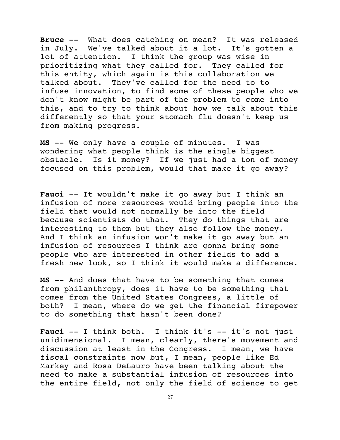**Bruce** -- What does catching on mean? It was released in July. We've talked about it a lot. It's gotten a lot of attention. I think the group was wise in prioritizing what they called for. They called for this entity, which again is this collaboration we talked about. They've called for the need to to infuse innovation, to find some of these people who we don't know might be part of the problem to come into this, and to try to think about how we talk about this differently so that your stomach flu doesn't keep us from making progress.

**MS** -- We only have a couple of minutes. I was wondering what people think is the single biggest obstacle. Is it money? If we just had a ton of money focused on this problem, would that make it go away?

**Fauci** -- It wouldn't make it go away but I think an infusion of more resources would bring people into the field that would not normally be into the field because scientists do that. They do things that are interesting to them but they also follow the money. And I think an infusion won't make it go away but an infusion of resources I think are gonna bring some people who are interested in other fields to add a fresh new look, so I think it would make a difference.

**MS** -- And does that have to be something that comes from philanthropy, does it have to be something that comes from the United States Congress, a little of both? I mean, where do we get the financial firepower to do something that hasn't been done?

Fauci -- I think both. I think it's -- it's not just unidimensional. I mean, clearly, there's movement and discussion at least in the Congress. I mean, we have fiscal constraints now but, I mean, people like Ed Markey and Rosa DeLauro have been talking about the need to make a substantial infusion of resources into the entire field, not only the field of science to get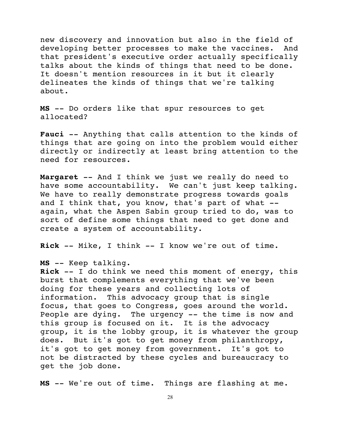new discovery and innovation but also in the field of developing better processes to make the vaccines. And that president's executive order actually specifically talks about the kinds of things that need to be done. It doesn't mention resources in it but it clearly delineates the kinds of things that we're talking about.

**MS** -- Do orders like that spur resources to get allocated?

**Fauci** -- Anything that calls attention to the kinds of things that are going on into the problem would either directly or indirectly at least bring attention to the need for resources.

**Margaret** -- And I think we just we really do need to have some accountability. We can't just keep talking. We have to really demonstrate progress towards goals and I think that, you know, that's part of what - again, what the Aspen Sabin group tried to do, was to sort of define some things that need to get done and create a system of accountability.

**Rick** -- Mike, I think -- I know we're out of time.

**MS** -- Keep talking.

**Rick** -- I do think we need this moment of energy, this burst that complements everything that we've been doing for these years and collecting lots of information. This advocacy group that is single focus, that goes to Congress, goes around the world. People are dying. The urgency -- the time is now and this group is focused on it. It is the advocacy group, it is the lobby group, it is whatever the group does. But it's got to get money from philanthropy, it's got to get money from government. It's got to not be distracted by these cycles and bureaucracy to get the job done.

**MS** -- We're out of time. Things are flashing at me.